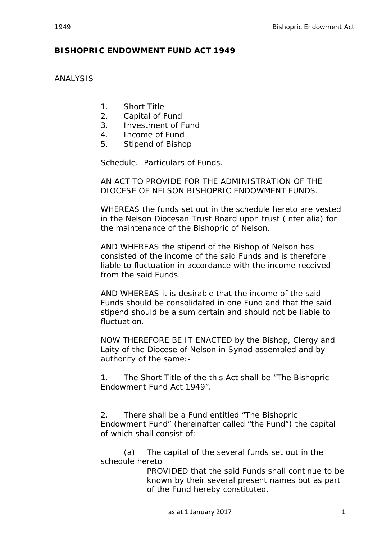## ANALYSIS

- 1. Short Title
- 2. Capital of Fund
- 3. Investment of Fund
- 4. Income of Fund
- 5. Stipend of Bishop

Schedule. Particulars of Funds.

AN ACT TO PROVIDE FOR THE ADMINISTRATION OF THE DIOCESE OF NELSON BISHOPRIC ENDOWMENT FUNDS.

WHEREAS the funds set out in the schedule hereto are vested in the Nelson Diocesan Trust Board upon trust (inter alia) for the maintenance of the Bishopric of Nelson.

AND WHEREAS the stipend of the Bishop of Nelson has consisted of the income of the said Funds and is therefore liable to fluctuation in accordance with the income received from the said Funds.

AND WHEREAS it is desirable that the income of the said Funds should be consolidated in one Fund and that the said stipend should be a sum certain and should not be liable to fluctuation.

NOW THEREFORE BE IT ENACTED by the Bishop, Clergy and Laity of the Diocese of Nelson in Synod assembled and by authority of the same:-

1. The Short Title of the this Act shall be "The Bishopric Endowment Fund Act 1949".

2. There shall be a Fund entitled "The Bishopric Endowment Fund" (hereinafter called "the Fund") the capital of which shall consist of:-

(a) The capital of the several funds set out in the schedule hereto

PROVIDED that the said Funds shall continue to be known by their several present names but as part of the Fund hereby constituted,